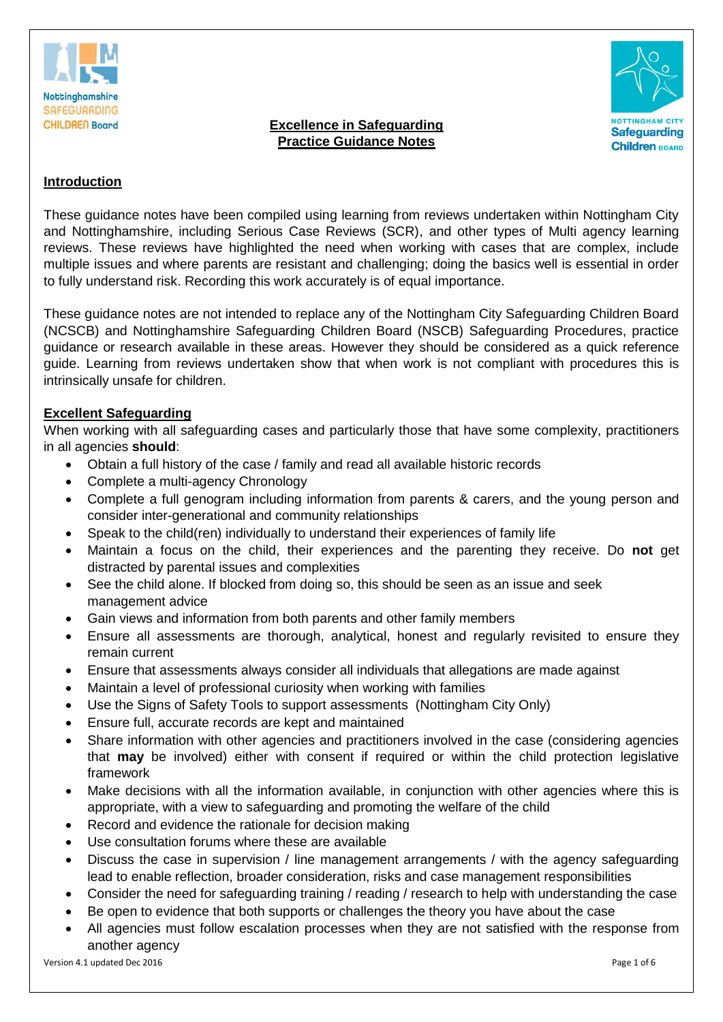

## **Excellence in Safeguarding Practice Guidance Notes**



# **Introduction**

These guidance notes have been compiled using learning from reviews undertaken within Nottingham City and Nottinghamshire, including Serious Case Reviews (SCR), and other types of Multi agency learning reviews. These reviews have highlighted the need when working with cases that are complex, include multiple issues and where parents are resistant and challenging; doing the basics well is essential in order to fully understand risk. Recording this work accurately is of equal importance.

These guidance notes are not intended to replace any of the Nottingham City Safeguarding Children Board (NCSCB) and Nottinghamshire Safeguarding Children Board (NSCB) Safeguarding Procedures, practice guidance or research available in these areas. However they should be considered as a quick reference guide. Learning from reviews undertaken show that when work is not compliant with procedures this is intrinsically unsafe for children.

## **Excellent Safeguarding**

When working with all safeguarding cases and particularly those that have some complexity, practitioners in all agencies **should**:

- Obtain a full history of the case / family and read all available historic records
- Complete a multi-agency Chronology
- Complete a full genogram including information from parents & carers, and the young person and consider inter-generational and community relationships
- Speak to the child(ren) individually to understand their experiences of family life
- Maintain a focus on the child, their experiences and the parenting they receive. Do **not** get distracted by parental issues and complexities
- See the child alone. If blocked from doing so, this should be seen as an issue and seek management advice
- Gain views and information from both parents and other family members
- Ensure all assessments are thorough, analytical, honest and regularly revisited to ensure they remain current
- Ensure that assessments always consider all individuals that allegations are made against
- Maintain a level of professional curiosity when working with families
- Use the Signs of Safety Tools to support assessments (Nottingham City Only)
- Ensure full, accurate records are kept and maintained
- Share information with other agencies and practitioners involved in the case (considering agencies that **may** be involved) either with consent if required or within the child protection legislative framework
- Make decisions with all the information available, in conjunction with other agencies where this is appropriate, with a view to safeguarding and promoting the welfare of the child
- Record and evidence the rationale for decision making
- Use consultation forums where these are available
- Discuss the case in supervision / line management arrangements / with the agency safeguarding lead to enable reflection, broader consideration, risks and case management responsibilities
- Consider the need for safeguarding training / reading / research to help with understanding the case
- Be open to evidence that both supports or challenges the theory you have about the case
- All agencies must follow escalation processes when they are not satisfied with the response from another agency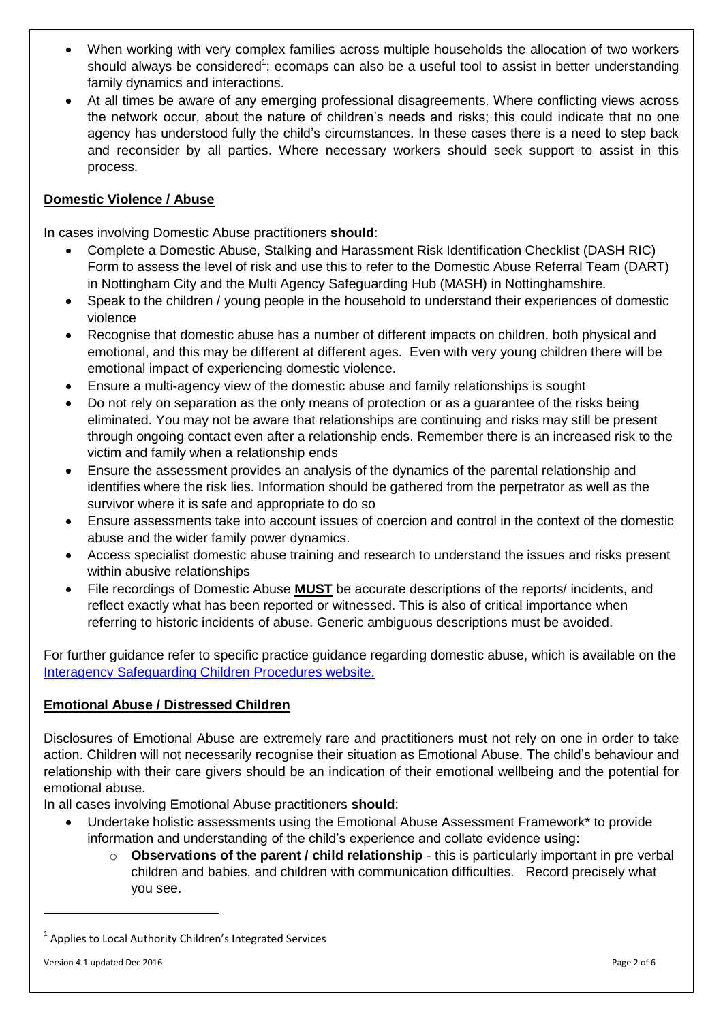- When working with very complex families across multiple households the allocation of two workers should always be considered<sup>1</sup>; ecomaps can also be a useful tool to assist in better understanding family dynamics and interactions.
- At all times be aware of any emerging professional disagreements. Where conflicting views across the network occur, about the nature of children's needs and risks; this could indicate that no one agency has understood fully the child's circumstances. In these cases there is a need to step back and reconsider by all parties. Where necessary workers should seek support to assist in this process.

# **Domestic Violence / Abuse**

In cases involving Domestic Abuse practitioners **should**:

- Complete a Domestic Abuse, Stalking and Harassment Risk Identification Checklist (DASH RIC) Form to assess the level of risk and use this to refer to the Domestic Abuse Referral Team (DART) in Nottingham City and the Multi Agency Safeguarding Hub (MASH) in Nottinghamshire.
- Speak to the children / young people in the household to understand their experiences of domestic violence
- Recognise that domestic abuse has a number of different impacts on children, both physical and emotional, and this may be different at different ages. Even with very young children there will be emotional impact of experiencing domestic violence.
- Ensure a multi-agency view of the domestic abuse and family relationships is sought
- Do not rely on separation as the only means of protection or as a guarantee of the risks being eliminated. You may not be aware that relationships are continuing and risks may still be present through ongoing contact even after a relationship ends. Remember there is an increased risk to the victim and family when a relationship ends
- Ensure the assessment provides an analysis of the dynamics of the parental relationship and identifies where the risk lies. Information should be gathered from the perpetrator as well as the survivor where it is safe and appropriate to do so
- Ensure assessments take into account issues of coercion and control in the context of the domestic abuse and the wider family power dynamics.
- Access specialist domestic abuse training and research to understand the issues and risks present within abusive relationships
- File recordings of Domestic Abuse **MUST** be accurate descriptions of the reports/ incidents, and reflect exactly what has been reported or witnessed. This is also of critical importance when referring to historic incidents of abuse. Generic ambiguous descriptions must be avoided.

For further guidance refer to specific practice guidance regarding domestic abuse, which is available on the [Interagency Safeguarding Children Procedures website.](http://nottinghamshirescb.proceduresonline.com/local_resources.html)

## **Emotional Abuse / Distressed Children**

Disclosures of Emotional Abuse are extremely rare and practitioners must not rely on one in order to take action. Children will not necessarily recognise their situation as Emotional Abuse. The child's behaviour and relationship with their care givers should be an indication of their emotional wellbeing and the potential for emotional abuse.

In all cases involving Emotional Abuse practitioners **should**:

- Undertake holistic assessments using the Emotional Abuse Assessment Framework\* to provide information and understanding of the child's experience and collate evidence using:
	- o **Observations of the parent / child relationship** this is particularly important in pre verbal children and babies, and children with communication difficulties. Record precisely what you see.

**.** 

<sup>&</sup>lt;sup>1</sup> Applies to Local Authority Children's Integrated Services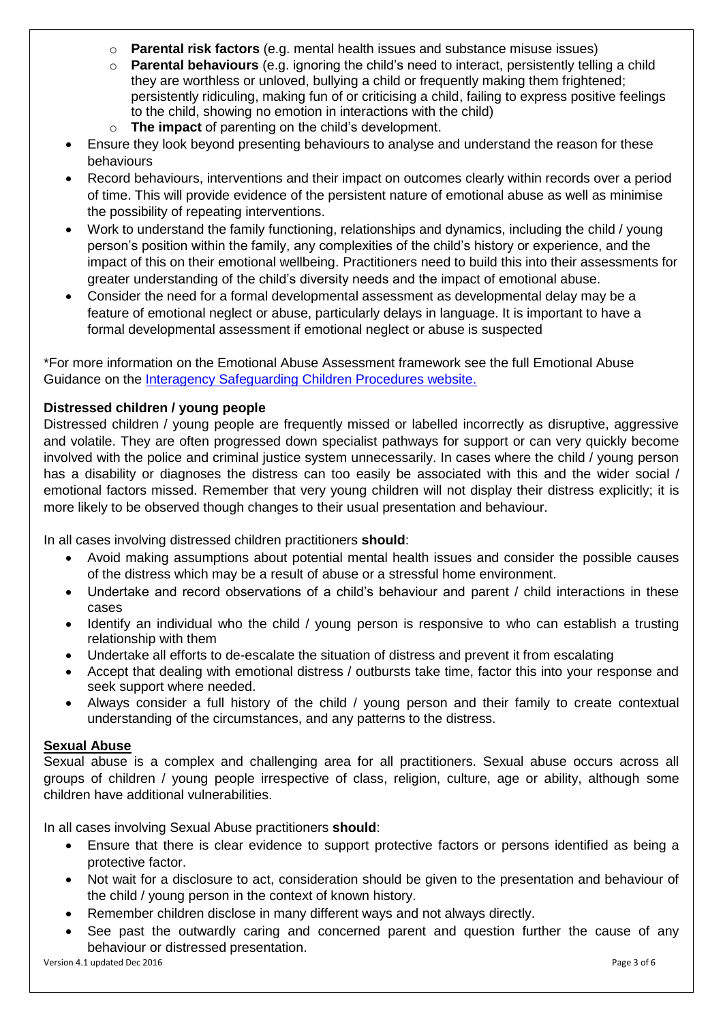- o **Parental risk factors** (e.g. mental health issues and substance misuse issues)
- o **Parental behaviours** (e.g. ignoring the child's need to interact, persistently telling a child they are worthless or unloved, bullying a child or frequently making them frightened; persistently ridiculing, making fun of or criticising a child, failing to express positive feelings to the child, showing no emotion in interactions with the child)
- o **The impact** of parenting on the child's development.
- Ensure they look beyond presenting behaviours to analyse and understand the reason for these behaviours
- Record behaviours, interventions and their impact on outcomes clearly within records over a period of time. This will provide evidence of the persistent nature of emotional abuse as well as minimise the possibility of repeating interventions.
- Work to understand the family functioning, relationships and dynamics, including the child / young person's position within the family, any complexities of the child's history or experience, and the impact of this on their emotional wellbeing. Practitioners need to build this into their assessments for greater understanding of the child's diversity needs and the impact of emotional abuse.
- Consider the need for a formal developmental assessment as developmental delay may be a feature of emotional neglect or abuse, particularly delays in language. It is important to have a formal developmental assessment if emotional neglect or abuse is suspected

\*For more information on the Emotional Abuse Assessment framework see the full Emotional Abuse Guidance on the [Interagency Safeguarding Children Procedures website.](http://nottinghamshirescb.proceduresonline.com/local_resources.html)

# **Distressed children / young people**

Distressed children / young people are frequently missed or labelled incorrectly as disruptive, aggressive and volatile. They are often progressed down specialist pathways for support or can very quickly become involved with the police and criminal justice system unnecessarily. In cases where the child / young person has a disability or diagnoses the distress can too easily be associated with this and the wider social / emotional factors missed. Remember that very young children will not display their distress explicitly; it is more likely to be observed though changes to their usual presentation and behaviour.

In all cases involving distressed children practitioners **should**:

- Avoid making assumptions about potential mental health issues and consider the possible causes of the distress which may be a result of abuse or a stressful home environment.
- Undertake and record observations of a child's behaviour and parent / child interactions in these cases
- Identify an individual who the child / young person is responsive to who can establish a trusting relationship with them
- Undertake all efforts to de-escalate the situation of distress and prevent it from escalating
- Accept that dealing with emotional distress / outbursts take time, factor this into your response and seek support where needed.
- Always consider a full history of the child / young person and their family to create contextual understanding of the circumstances, and any patterns to the distress.

## **Sexual Abuse**

Sexual abuse is a complex and challenging area for all practitioners. Sexual abuse occurs across all groups of children / young people irrespective of class, religion, culture, age or ability, although some children have additional vulnerabilities.

In all cases involving Sexual Abuse practitioners **should**:

- Ensure that there is clear evidence to support protective factors or persons identified as being a protective factor.
- Not wait for a disclosure to act, consideration should be given to the presentation and behaviour of the child / young person in the context of known history.
- Remember children disclose in many different ways and not always directly.
- See past the outwardly caring and concerned parent and question further the cause of any behaviour or distressed presentation.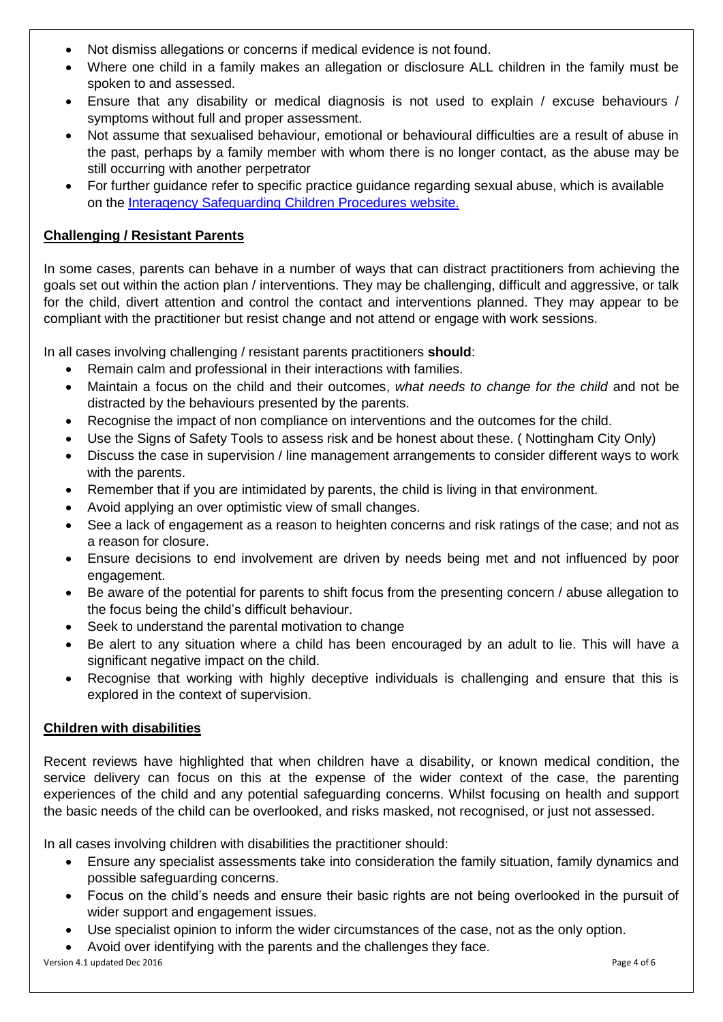- Not dismiss allegations or concerns if medical evidence is not found.
- Where one child in a family makes an allegation or disclosure ALL children in the family must be spoken to and assessed.
- Ensure that any disability or medical diagnosis is not used to explain / excuse behaviours / symptoms without full and proper assessment.
- Not assume that sexualised behaviour, emotional or behavioural difficulties are a result of abuse in the past, perhaps by a family member with whom there is no longer contact, as the abuse may be still occurring with another perpetrator
- For further guidance refer to specific practice guidance regarding sexual abuse, which is available on the [Interagency Safeguarding Children Procedures website.](http://nottinghamshirescb.proceduresonline.com/local_resources.html)

# **Challenging / Resistant Parents**

In some cases, parents can behave in a number of ways that can distract practitioners from achieving the goals set out within the action plan / interventions. They may be challenging, difficult and aggressive, or talk for the child, divert attention and control the contact and interventions planned. They may appear to be compliant with the practitioner but resist change and not attend or engage with work sessions.

In all cases involving challenging / resistant parents practitioners **should**:

- Remain calm and professional in their interactions with families.
- Maintain a focus on the child and their outcomes, *what needs to change for the child* and not be distracted by the behaviours presented by the parents.
- Recognise the impact of non compliance on interventions and the outcomes for the child.
- Use the Signs of Safety Tools to assess risk and be honest about these. ( Nottingham City Only)
- Discuss the case in supervision / line management arrangements to consider different ways to work with the parents.
- Remember that if you are intimidated by parents, the child is living in that environment.
- Avoid applying an over optimistic view of small changes.
- See a lack of engagement as a reason to heighten concerns and risk ratings of the case; and not as a reason for closure.
- Ensure decisions to end involvement are driven by needs being met and not influenced by poor engagement.
- Be aware of the potential for parents to shift focus from the presenting concern / abuse allegation to the focus being the child's difficult behaviour.
- Seek to understand the parental motivation to change
- Be alert to any situation where a child has been encouraged by an adult to lie. This will have a significant negative impact on the child.
- Recognise that working with highly deceptive individuals is challenging and ensure that this is explored in the context of supervision.

# **Children with disabilities**

Recent reviews have highlighted that when children have a disability, or known medical condition, the service delivery can focus on this at the expense of the wider context of the case, the parenting experiences of the child and any potential safeguarding concerns. Whilst focusing on health and support the basic needs of the child can be overlooked, and risks masked, not recognised, or just not assessed.

In all cases involving children with disabilities the practitioner should:

- Ensure any specialist assessments take into consideration the family situation, family dynamics and possible safeguarding concerns.
- Focus on the child's needs and ensure their basic rights are not being overlooked in the pursuit of wider support and engagement issues.
- Use specialist opinion to inform the wider circumstances of the case, not as the only option.
- Avoid over identifying with the parents and the challenges they face.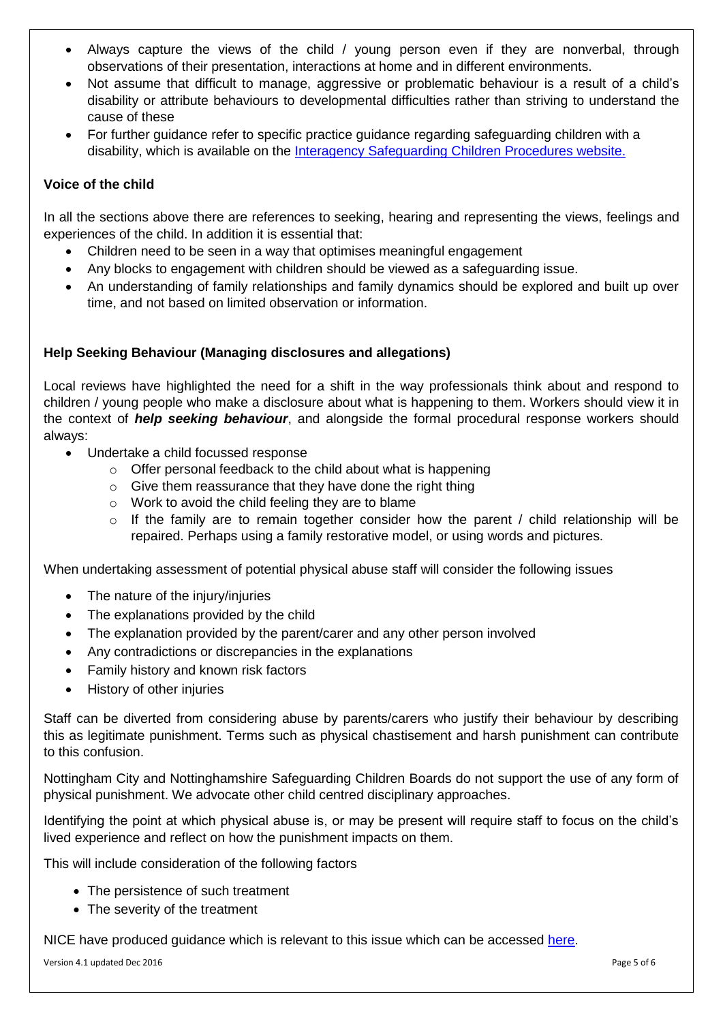- Always capture the views of the child / young person even if they are nonverbal, through observations of their presentation, interactions at home and in different environments.
- Not assume that difficult to manage, aggressive or problematic behaviour is a result of a child's disability or attribute behaviours to developmental difficulties rather than striving to understand the cause of these
- For further guidance refer to specific practice guidance regarding safeguarding children with a disability, which is available on the [Interagency Safeguarding Children Procedures website.](http://nottinghamshirescb.proceduresonline.com/local_resources.html)

# **Voice of the child**

In all the sections above there are references to seeking, hearing and representing the views, feelings and experiences of the child. In addition it is essential that:

- Children need to be seen in a way that optimises meaningful engagement
- Any blocks to engagement with children should be viewed as a safeguarding issue.
- An understanding of family relationships and family dynamics should be explored and built up over time, and not based on limited observation or information.

# **Help Seeking Behaviour (Managing disclosures and allegations)**

Local reviews have highlighted the need for a shift in the way professionals think about and respond to children / young people who make a disclosure about what is happening to them. Workers should view it in the context of *help seeking behaviour*, and alongside the formal procedural response workers should always:

- Undertake a child focussed response
	- $\circ$  Offer personal feedback to the child about what is happening
	- $\circ$  Give them reassurance that they have done the right thing
	- o Work to avoid the child feeling they are to blame
	- $\circ$  If the family are to remain together consider how the parent / child relationship will be repaired. Perhaps using a family restorative model, or using words and pictures.

When undertaking assessment of potential physical abuse staff will consider the following issues

- The nature of the injury/injuries
- The explanations provided by the child
- The explanation provided by the parent/carer and any other person involved
- Any contradictions or discrepancies in the explanations
- Family history and known risk factors
- History of other injuries

Staff can be diverted from considering abuse by parents/carers who justify their behaviour by describing this as legitimate punishment. Terms such as physical chastisement and harsh punishment can contribute to this confusion.

Nottingham City and Nottinghamshire Safeguarding Children Boards do not support the use of any form of physical punishment. We advocate other child centred disciplinary approaches.

Identifying the point at which physical abuse is, or may be present will require staff to focus on the child's lived experience and reflect on how the punishment impacts on them.

This will include consideration of the following factors

- The persistence of such treatment
- The severity of the treatment

NICE have produced guidance which is relevant to this issue which can be accessed [here](https://www.nice.org.uk/guidance/CG89/chapter/1-Guidance).

Version 4.1 updated Dec 2016 **Page 5** of 6